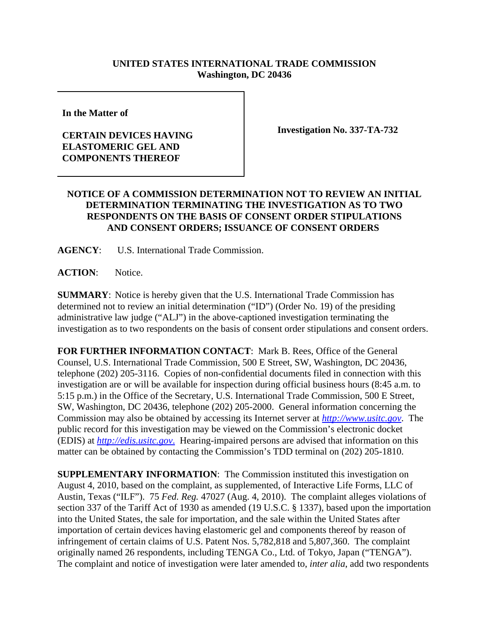## **UNITED STATES INTERNATIONAL TRADE COMMISSION Washington, DC 20436**

**In the Matter of**

## **CERTAIN DEVICES HAVING ELASTOMERIC GEL AND COMPONENTS THEREOF**

**Investigation No. 337-TA-732**

## **NOTICE OF A COMMISSION DETERMINATION NOT TO REVIEW AN INITIAL DETERMINATION TERMINATING THE INVESTIGATION AS TO TWO RESPONDENTS ON THE BASIS OF CONSENT ORDER STIPULATIONS AND CONSENT ORDERS; ISSUANCE OF CONSENT ORDERS**

**AGENCY**: U.S. International Trade Commission.

**ACTION**: Notice.

**SUMMARY**: Notice is hereby given that the U.S. International Trade Commission has determined not to review an initial determination ("ID") (Order No. 19) of the presiding administrative law judge ("ALJ") in the above-captioned investigation terminating the investigation as to two respondents on the basis of consent order stipulations and consent orders.

**FOR FURTHER INFORMATION CONTACT**:Mark B. Rees, Office of the General Counsel, U.S. International Trade Commission, 500 E Street, SW, Washington, DC 20436, telephone (202) 205-3116. Copies of non-confidential documents filed in connection with this investigation are or will be available for inspection during official business hours (8:45 a.m. to 5:15 p.m.) in the Office of the Secretary, U.S. International Trade Commission, 500 E Street, SW, Washington, DC 20436, telephone (202) 205-2000. General information concerning the Commission may also be obtained by accessing its Internet server at *http://www.usitc.gov*. The public record for this investigation may be viewed on the Commission's electronic docket (EDIS) at *http://edis.usitc.gov*. Hearing-impaired persons are advised that information on this matter can be obtained by contacting the Commission's TDD terminal on (202) 205-1810.

**SUPPLEMENTARY INFORMATION:** The Commission instituted this investigation on August 4, 2010, based on the complaint, as supplemented, of Interactive Life Forms, LLC of Austin, Texas ("ILF"). 75 *Fed. Reg.* 47027 (Aug. 4, 2010). The complaint alleges violations of section 337 of the Tariff Act of 1930 as amended (19 U.S.C. § 1337), based upon the importation into the United States, the sale for importation, and the sale within the United States after importation of certain devices having elastomeric gel and components thereof by reason of infringement of certain claims of U.S. Patent Nos. 5,782,818 and 5,807,360. The complaint originally named 26 respondents, including TENGA Co., Ltd. of Tokyo, Japan ("TENGA"). The complaint and notice of investigation were later amended to, *inter alia*, add two respondents